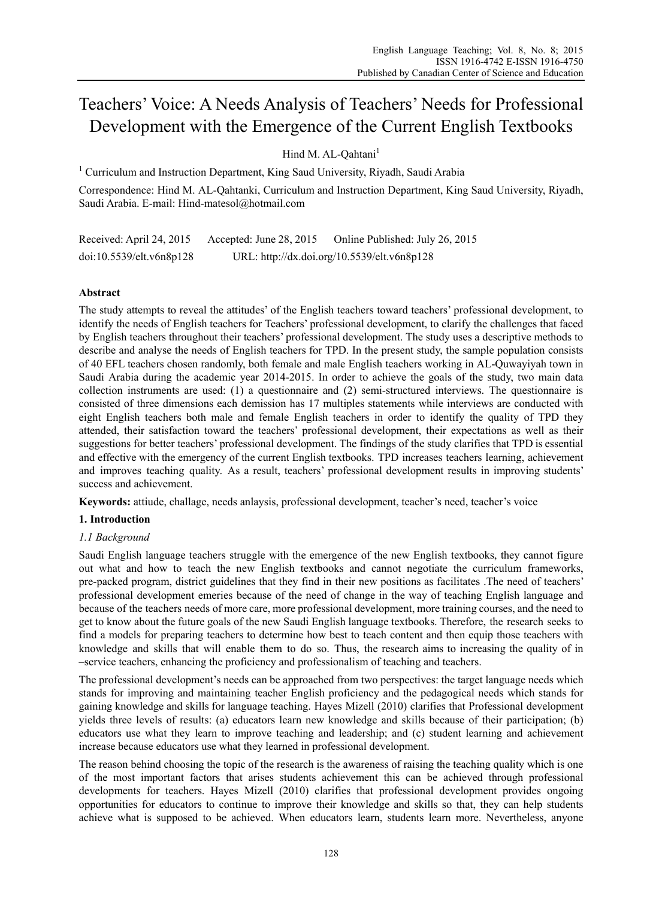# Teachers' Voice: A Needs Analysis of Teachers' Needs for Professional Development with the Emergence of the Current English Textbooks

Hind M. AL-Qahtani<sup>1</sup>

<sup>1</sup> Curriculum and Instruction Department, King Saud University, Riyadh, Saudi Arabia

Correspondence: Hind M. AL-Qahtanki, Curriculum and Instruction Department, King Saud University, Riyadh, Saudi Arabia. E-mail: Hind-matesol@hotmail.com

Received: April 24, 2015 Accepted: June 28, 2015 Online Published: July 26, 2015 doi:10.5539/elt.v6n8p128 URL: http://dx.doi.org/10.5539/elt.v6n8p128

# **Abstract**

The study attempts to reveal the attitudes' of the English teachers toward teachers' professional development, to identify the needs of English teachers for Teachers' professional development, to clarify the challenges that faced by English teachers throughout their teachers' professional development. The study uses a descriptive methods to describe and analyse the needs of English teachers for TPD. In the present study, the sample population consists of 40 EFL teachers chosen randomly, both female and male English teachers working in AL-Quwayiyah town in Saudi Arabia during the academic year 2014-2015. In order to achieve the goals of the study, two main data collection instruments are used: (1) a questionnaire and (2) semi-structured interviews. The questionnaire is consisted of three dimensions each demission has 17 multiples statements while interviews are conducted with eight English teachers both male and female English teachers in order to identify the quality of TPD they attended, their satisfaction toward the teachers' professional development, their expectations as well as their suggestions for better teachers' professional development. The findings of the study clarifies that TPD is essential and effective with the emergency of the current English textbooks. TPD increases teachers learning, achievement and improves teaching quality. As a result, teachers' professional development results in improving students' success and achievement.

**Keywords:** attiude, challage, needs anlaysis, professional development, teacher's need, teacher's voice

## **1. Introduction**

## *1.1 Background*

Saudi English language teachers struggle with the emergence of the new English textbooks, they cannot figure out what and how to teach the new English textbooks and cannot negotiate the curriculum frameworks, pre-packed program, district guidelines that they find in their new positions as facilitates .The need of teachers' professional development emeries because of the need of change in the way of teaching English language and because of the teachers needs of more care, more professional development, more training courses, and the need to get to know about the future goals of the new Saudi English language textbooks. Therefore, the research seeks to find a models for preparing teachers to determine how best to teach content and then equip those teachers with knowledge and skills that will enable them to do so. Thus, the research aims to increasing the quality of in –service teachers, enhancing the proficiency and professionalism of teaching and teachers.

The professional development's needs can be approached from two perspectives: the target language needs which stands for improving and maintaining teacher English proficiency and the pedagogical needs which stands for gaining knowledge and skills for language teaching. Hayes Mizell (2010) clarifies that Professional development yields three levels of results: (a) educators learn new knowledge and skills because of their participation; (b) educators use what they learn to improve teaching and leadership; and (c) student learning and achievement increase because educators use what they learned in professional development.

The reason behind choosing the topic of the research is the awareness of raising the teaching quality which is one of the most important factors that arises students achievement this can be achieved through professional developments for teachers. Hayes Mizell (2010) clarifies that professional development provides ongoing opportunities for educators to continue to improve their knowledge and skills so that, they can help students achieve what is supposed to be achieved. When educators learn, students learn more. Nevertheless, anyone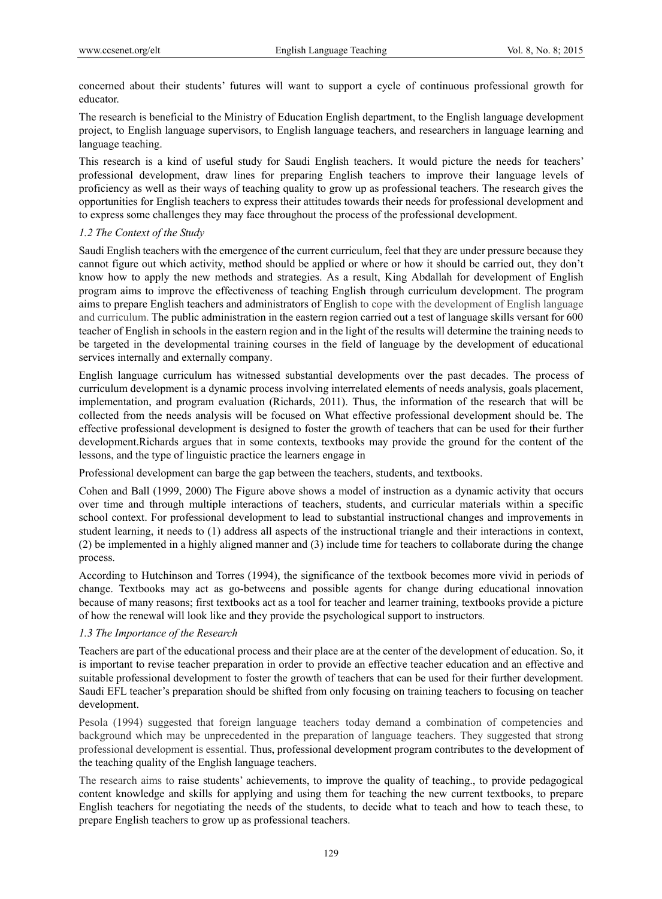concerned about their students' futures will want to support a cycle of continuous professional growth for educator.

The research is beneficial to the Ministry of Education English department, to the English language development project, to English language supervisors, to English language teachers, and researchers in language learning and language teaching.

This research is a kind of useful study for Saudi English teachers. It would picture the needs for teachers' professional development, draw lines for preparing English teachers to improve their language levels of proficiency as well as their ways of teaching quality to grow up as professional teachers. The research gives the opportunities for English teachers to express their attitudes towards their needs for professional development and to express some challenges they may face throughout the process of the professional development.

## *1.2 The Context of the Study*

Saudi English teachers with the emergence of the current curriculum, feel that they are under pressure because they cannot figure out which activity, method should be applied or where or how it should be carried out, they don't know how to apply the new methods and strategies. As a result, King Abdallah for development of English program aims to improve the effectiveness of teaching English through curriculum development. The program aims to prepare English teachers and administrators of English to cope with the development of English language and curriculum. The public administration in the eastern region carried out a test of language skills versant for 600 teacher of English in schools in the eastern region and in the light of the results will determine the training needs to be targeted in the developmental training courses in the field of language by the development of educational services internally and externally company.

English language curriculum has witnessed substantial developments over the past decades. The process of curriculum development is a dynamic process involving interrelated elements of needs analysis, goals placement, implementation, and program evaluation (Richards, 2011). Thus, the information of the research that will be collected from the needs analysis will be focused on What effective professional development should be. The effective professional development is designed to foster the growth of teachers that can be used for their further development.Richards argues that in some contexts, textbooks may provide the ground for the content of the lessons, and the type of linguistic practice the learners engage in

Professional development can barge the gap between the teachers, students, and textbooks.

Cohen and Ball (1999, 2000) The Figure above shows a model of instruction as a dynamic activity that occurs over time and through multiple interactions of teachers, students, and curricular materials within a specific school context. For professional development to lead to substantial instructional changes and improvements in student learning, it needs to (1) address all aspects of the instructional triangle and their interactions in context, (2) be implemented in a highly aligned manner and (3) include time for teachers to collaborate during the change process.

According to Hutchinson and Torres (1994), the significance of the textbook becomes more vivid in periods of change. Textbooks may act as go-betweens and possible agents for change during educational innovation because of many reasons; first textbooks act as a tool for teacher and learner training, textbooks provide a picture of how the renewal will look like and they provide the psychological support to instructors.

## *1.3 The Importance of the Research*

Teachers are part of the educational process and their place are at the center of the development of education. So, it is important to revise teacher preparation in order to provide an effective teacher education and an effective and suitable professional development to foster the growth of teachers that can be used for their further development. Saudi EFL teacher's preparation should be shifted from only focusing on training teachers to focusing on teacher development.

Pesola (1994) suggested that foreign language teachers today demand a combination of competencies and background which may be unprecedented in the preparation of language teachers. They suggested that strong professional development is essential. Thus, professional development program contributes to the development of the teaching quality of the English language teachers.

The research aims to raise students' achievements, to improve the quality of teaching., to provide pedagogical content knowledge and skills for applying and using them for teaching the new current textbooks, to prepare English teachers for negotiating the needs of the students, to decide what to teach and how to teach these, to prepare English teachers to grow up as professional teachers.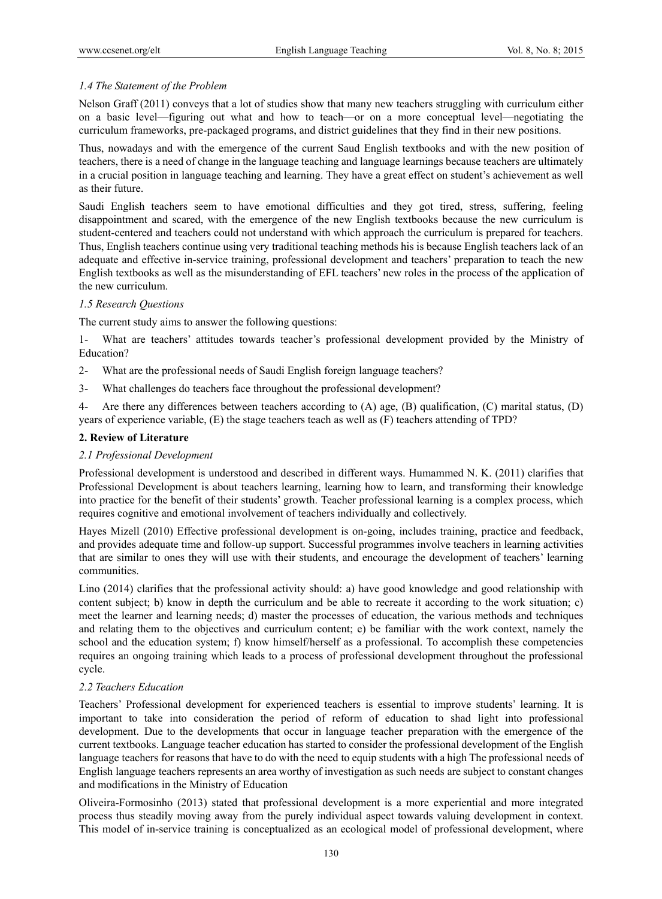## *1.4 The Statement of the Problem*

Nelson Graff (2011) conveys that a lot of studies show that many new teachers struggling with curriculum either on a basic level—figuring out what and how to teach—or on a more conceptual level—negotiating the curriculum frameworks, pre-packaged programs, and district guidelines that they find in their new positions.

Thus, nowadays and with the emergence of the current Saud English textbooks and with the new position of teachers, there is a need of change in the language teaching and language learnings because teachers are ultimately in a crucial position in language teaching and learning. They have a great effect on student's achievement as well as their future.

Saudi English teachers seem to have emotional difficulties and they got tired, stress, suffering, feeling disappointment and scared, with the emergence of the new English textbooks because the new curriculum is student-centered and teachers could not understand with which approach the curriculum is prepared for teachers. Thus, English teachers continue using very traditional teaching methods his is because English teachers lack of an adequate and effective in-service training, professional development and teachers' preparation to teach the new English textbooks as well as the misunderstanding of EFL teachers' new roles in the process of the application of the new curriculum.

## *1.5 Research Questions*

The current study aims to answer the following questions:

1- What are teachers' attitudes towards teacher's professional development provided by the Ministry of Education?

- 2- What are the professional needs of Saudi English foreign language teachers?
- 3- What challenges do teachers face throughout the professional development?

4- Are there any differences between teachers according to (A) age, (B) qualification, (C) marital status, (D) years of experience variable, (E) the stage teachers teach as well as (F) teachers attending of TPD?

## **2. Review of Literature**

## *2.1 Professional Development*

Professional development is understood and described in different ways. Humammed N. K. (2011) clarifies that Professional Development is about teachers learning, learning how to learn, and transforming their knowledge into practice for the benefit of their students' growth. Teacher professional learning is a complex process, which requires cognitive and emotional involvement of teachers individually and collectively.

Hayes Mizell (2010) Effective professional development is on-going, includes training, practice and feedback, and provides adequate time and follow-up support. Successful programmes involve teachers in learning activities that are similar to ones they will use with their students, and encourage the development of teachers' learning communities.

Lino (2014) clarifies that the professional activity should: a) have good knowledge and good relationship with content subject; b) know in depth the curriculum and be able to recreate it according to the work situation; c) meet the learner and learning needs; d) master the processes of education, the various methods and techniques and relating them to the objectives and curriculum content; e) be familiar with the work context, namely the school and the education system; f) know himself/herself as a professional. To accomplish these competencies requires an ongoing training which leads to a process of professional development throughout the professional cycle.

# *2.2 Teachers Education*

Teachers' Professional development for experienced teachers is essential to improve students' learning. It is important to take into consideration the period of reform of education to shad light into professional development. Due to the developments that occur in language teacher preparation with the emergence of the current textbooks. Language teacher education has started to consider the professional development of the English language teachers for reasons that have to do with the need to equip students with a high The professional needs of English language teachers represents an area worthy of investigation as such needs are subject to constant changes and modifications in the Ministry of Education

Oliveira-Formosinho (2013) stated that professional development is a more experiential and more integrated process thus steadily moving away from the purely individual aspect towards valuing development in context. This model of in-service training is conceptualized as an ecological model of professional development, where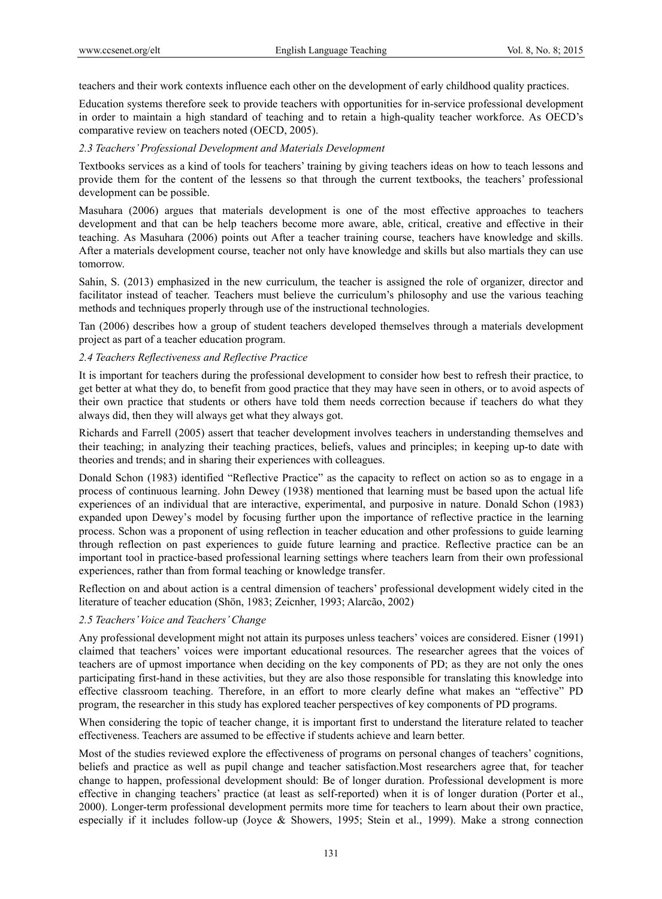teachers and their work contexts influence each other on the development of early childhood quality practices.

Education systems therefore seek to provide teachers with opportunities for in-service professional development in order to maintain a high standard of teaching and to retain a high-quality teacher workforce. As OECD's comparative review on teachers noted (OECD, 2005).

## *2.3 Teachers' Professional Development and Materials Development*

Textbooks services as a kind of tools for teachers' training by giving teachers ideas on how to teach lessons and provide them for the content of the lessens so that through the current textbooks, the teachers' professional development can be possible.

Masuhara (2006) argues that materials development is one of the most effective approaches to teachers development and that can be help teachers become more aware, able, critical, creative and effective in their teaching. As Masuhara (2006) points out After a teacher training course, teachers have knowledge and skills. After a materials development course, teacher not only have knowledge and skills but also martials they can use tomorrow.

Sahin, S. (2013) emphasized in the new curriculum, the teacher is assigned the role of organizer, director and facilitator instead of teacher. Teachers must believe the curriculum's philosophy and use the various teaching methods and techniques properly through use of the instructional technologies.

Tan (2006) describes how a group of student teachers developed themselves through a materials development project as part of a teacher education program.

## *2.4 Teachers Reflectiveness and Reflective Practice*

It is important for teachers during the professional development to consider how best to refresh their practice, to get better at what they do, to benefit from good practice that they may have seen in others, or to avoid aspects of their own practice that students or others have told them needs correction because if teachers do what they always did, then they will always get what they always got.

Richards and Farrell (2005) assert that teacher development involves teachers in understanding themselves and their teaching; in analyzing their teaching practices, beliefs, values and principles; in keeping up-to date with theories and trends; and in sharing their experiences with colleagues.

Donald Schon (1983) identified "Reflective Practice" as the capacity to reflect on action so as to engage in a process of continuous learning. John Dewey (1938) mentioned that learning must be based upon the actual life experiences of an individual that are interactive, experimental, and purposive in nature. Donald Schon (1983) expanded upon Dewey's model by focusing further upon the importance of reflective practice in the learning process. Schon was a proponent of using reflection in teacher education and other professions to guide learning through reflection on past experiences to guide future learning and practice. Reflective practice can be an important tool in practice-based professional learning settings where teachers learn from their own professional experiences, rather than from formal teaching or knowledge transfer.

Reflection on and about action is a central dimension of teachers' professional development widely cited in the literature of teacher education (Shön, 1983; Zeicnher, 1993; Alarcão, 2002)

## *2.5 Teachers' Voice and Teachers' Change*

Any professional development might not attain its purposes unless teachers' voices are considered. Eisner (1991) claimed that teachers' voices were important educational resources. The researcher agrees that the voices of teachers are of upmost importance when deciding on the key components of PD; as they are not only the ones participating first-hand in these activities, but they are also those responsible for translating this knowledge into effective classroom teaching. Therefore, in an effort to more clearly define what makes an "effective" PD program, the researcher in this study has explored teacher perspectives of key components of PD programs.

When considering the topic of teacher change, it is important first to understand the literature related to teacher effectiveness. Teachers are assumed to be effective if students achieve and learn better.

Most of the studies reviewed explore the effectiveness of programs on personal changes of teachers' cognitions, beliefs and practice as well as pupil change and teacher satisfaction.Most researchers agree that, for teacher change to happen, professional development should: Be of longer duration. Professional development is more effective in changing teachers' practice (at least as self-reported) when it is of longer duration (Porter et al., 2000). Longer-term professional development permits more time for teachers to learn about their own practice, especially if it includes follow-up (Joyce & Showers, 1995; Stein et al., 1999). Make a strong connection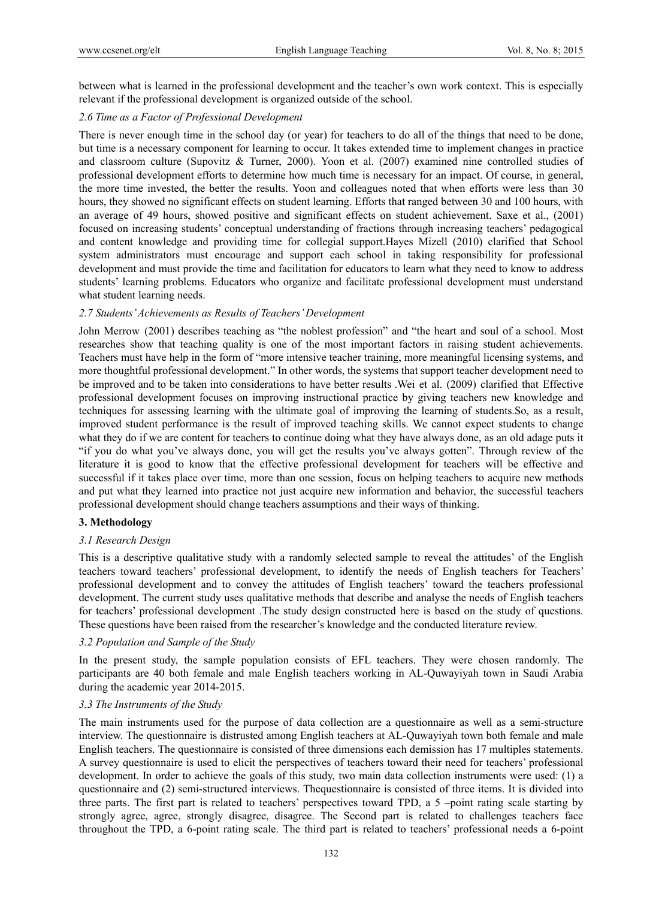between what is learned in the professional development and the teacher's own work context. This is especially relevant if the professional development is organized outside of the school.

## *2.6 Time as a Factor of Professional Development*

There is never enough time in the school day (or year) for teachers to do all of the things that need to be done, but time is a necessary component for learning to occur. It takes extended time to implement changes in practice and classroom culture (Supovitz & Turner, 2000). Yoon et al. (2007) examined nine controlled studies of professional development efforts to determine how much time is necessary for an impact. Of course, in general, the more time invested, the better the results. Yoon and colleagues noted that when efforts were less than 30 hours, they showed no significant effects on student learning. Efforts that ranged between 30 and 100 hours, with an average of 49 hours, showed positive and significant effects on student achievement. Saxe et al., (2001) focused on increasing students' conceptual understanding of fractions through increasing teachers' pedagogical and content knowledge and providing time for collegial support.Hayes Mizell (2010) clarified that School system administrators must encourage and support each school in taking responsibility for professional development and must provide the time and facilitation for educators to learn what they need to know to address students' learning problems. Educators who organize and facilitate professional development must understand what student learning needs.

## *2.7 Students' Achievements as Results of Teachers' Development*

John Merrow (2001) describes teaching as "the noblest profession" and "the heart and soul of a school. Most researches show that teaching quality is one of the most important factors in raising student achievements. Teachers must have help in the form of "more intensive teacher training, more meaningful licensing systems, and more thoughtful professional development." In other words, the systems that support teacher development need to be improved and to be taken into considerations to have better results .Wei et al. (2009) clarified that Effective professional development focuses on improving instructional practice by giving teachers new knowledge and techniques for assessing learning with the ultimate goal of improving the learning of students.So, as a result, improved student performance is the result of improved teaching skills. We cannot expect students to change what they do if we are content for teachers to continue doing what they have always done, as an old adage puts it "if you do what you've always done, you will get the results you've always gotten". Through review of the literature it is good to know that the effective professional development for teachers will be effective and successful if it takes place over time, more than one session, focus on helping teachers to acquire new methods and put what they learned into practice not just acquire new information and behavior, the successful teachers professional development should change teachers assumptions and their ways of thinking.

## **3. Methodology**

## *3.1 Research Design*

This is a descriptive qualitative study with a randomly selected sample to reveal the attitudes' of the English teachers toward teachers' professional development, to identify the needs of English teachers for Teachers' professional development and to convey the attitudes of English teachers' toward the teachers professional development. The current study uses qualitative methods that describe and analyse the needs of English teachers for teachers' professional development .The study design constructed here is based on the study of questions. These questions have been raised from the researcher's knowledge and the conducted literature review.

#### *3.2 Population and Sample of the Study*

In the present study, the sample population consists of EFL teachers. They were chosen randomly. The participants are 40 both female and male English teachers working in AL-Quwayiyah town in Saudi Arabia during the academic year 2014-2015.

#### *3.3 The Instruments of the Study*

The main instruments used for the purpose of data collection are a questionnaire as well as a semi-structure interview. The questionnaire is distrusted among English teachers at AL-Quwayiyah town both female and male English teachers. The questionnaire is consisted of three dimensions each demission has 17 multiples statements. A survey questionnaire is used to elicit the perspectives of teachers toward their need for teachers' professional development. In order to achieve the goals of this study, two main data collection instruments were used: (1) a questionnaire and (2) semi-structured interviews. Thequestionnaire is consisted of three items. It is divided into three parts. The first part is related to teachers' perspectives toward TPD, a 5 –point rating scale starting by strongly agree, agree, strongly disagree, disagree. The Second part is related to challenges teachers face throughout the TPD, a 6-point rating scale. The third part is related to teachers' professional needs a 6-point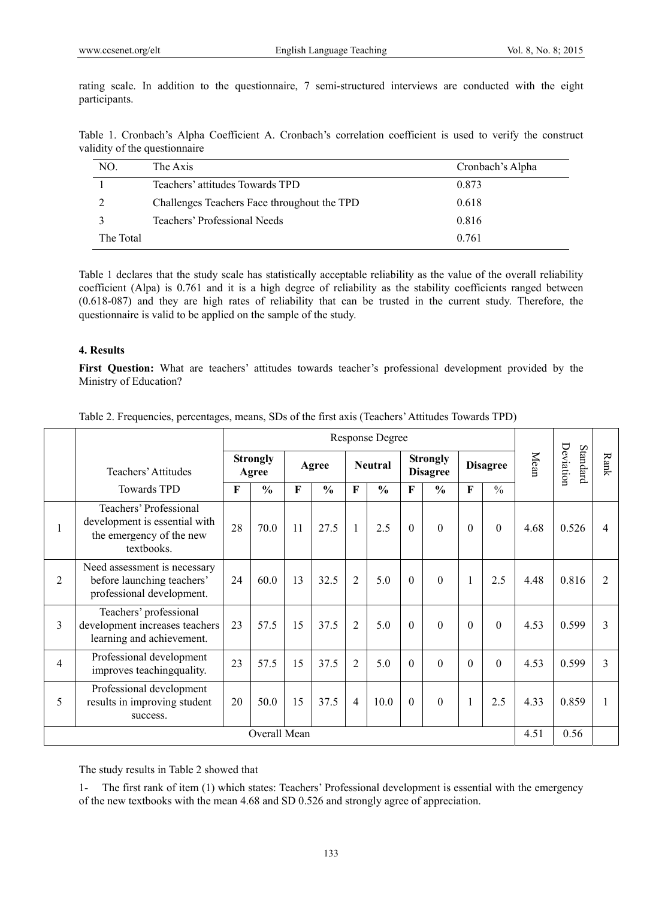rating scale. In addition to the questionnaire, 7 semi-structured interviews are conducted with the eight participants.

Table 1. Cronbach's Alpha Coefficient A. Cronbach's correlation coefficient is used to verify the construct validity of the questionnaire

| NO.       | The Axis                                    | Cronbach's Alpha |
|-----------|---------------------------------------------|------------------|
|           | Teachers' attitudes Towards TPD             | 0.873            |
|           | Challenges Teachers Face throughout the TPD | 0.618            |
|           | Teachers' Professional Needs                | 0.816            |
| The Total |                                             | 0.761            |

Table 1 declares that the study scale has statistically acceptable reliability as the value of the overall reliability coefficient (Alpa) is 0.761 and it is a high degree of reliability as the stability coefficients ranged between (0.618-087) and they are high rates of reliability that can be trusted in the current study. Therefore, the questionnaire is valid to be applied on the sample of the study.

## **4. Results**

First Question: What are teachers' attitudes towards teacher's professional development provided by the Ministry of Education?

|                |                                                                                                   |    | <b>Response Degree</b> |              |               |                |               |                                    |               |              |                 |      |                       |      |
|----------------|---------------------------------------------------------------------------------------------------|----|------------------------|--------------|---------------|----------------|---------------|------------------------------------|---------------|--------------|-----------------|------|-----------------------|------|
|                | <b>Strongly</b><br>Teachers' Attitudes<br>Agree                                                   |    |                        | Agree        |               | <b>Neutral</b> |               | <b>Strongly</b><br><b>Disagree</b> |               |              | <b>Disagree</b> | Mean | Deviation<br>Standard | Rank |
|                | <b>Towards TPD</b>                                                                                | F  | $\frac{0}{0}$          | $\mathbf{F}$ | $\frac{0}{0}$ | $\mathbf{F}$   | $\frac{0}{0}$ | F                                  | $\frac{0}{0}$ | $\mathbf{F}$ | $\frac{0}{0}$   |      |                       |      |
| 1              | Teachers' Professional<br>development is essential with<br>the emergency of the new<br>textbooks. | 28 | 70.0                   | 11           | 27.5          | 1              | 2.5           | $\theta$                           | $\theta$      | $\theta$     | $\theta$        | 4.68 | 0.526                 | 4    |
| $\overline{2}$ | Need assessment is necessary<br>before launching teachers'<br>professional development.           | 24 | 60.0                   | 13           | 32.5          | $\overline{2}$ | 5.0           | $\theta$                           | $\mathbf{0}$  |              | 2.5             | 4.48 | 0.816                 | 2    |
| 3              | Teachers' professional<br>development increases teachers<br>learning and achievement.             | 23 | 57.5                   | 15           | 37.5          | $\overline{2}$ | 5.0           | $\Omega$                           | $\Omega$      | $\Omega$     | $\Omega$        | 4.53 | 0.599                 | 3    |
| 4              | Professional development<br>improves teaching quality.                                            | 23 | 57.5                   | 15           | 37.5          | $\overline{2}$ | 5.0           | $\theta$                           | $\mathbf{0}$  | $\Omega$     | $\Omega$        | 4.53 | 0.599                 | 3    |
| 5              | Professional development<br>results in improving student<br>success.                              | 20 | 50.0                   | 15           | 37.5          | $\overline{4}$ | 10.0          | $\theta$                           | $\Omega$      | 1            | 2.5             | 4.33 | 0.859                 |      |
|                | Overall Mean                                                                                      |    |                        |              |               |                |               |                                    |               |              | 4.51            | 0.56 |                       |      |

Table 2. Frequencies, percentages, means, SDs of the first axis (Teachers' Attitudes Towards TPD)

The study results in Table 2 showed that

1- The first rank of item (1) which states: Teachers' Professional development is essential with the emergency of the new textbooks with the mean 4.68 and SD 0.526 and strongly agree of appreciation.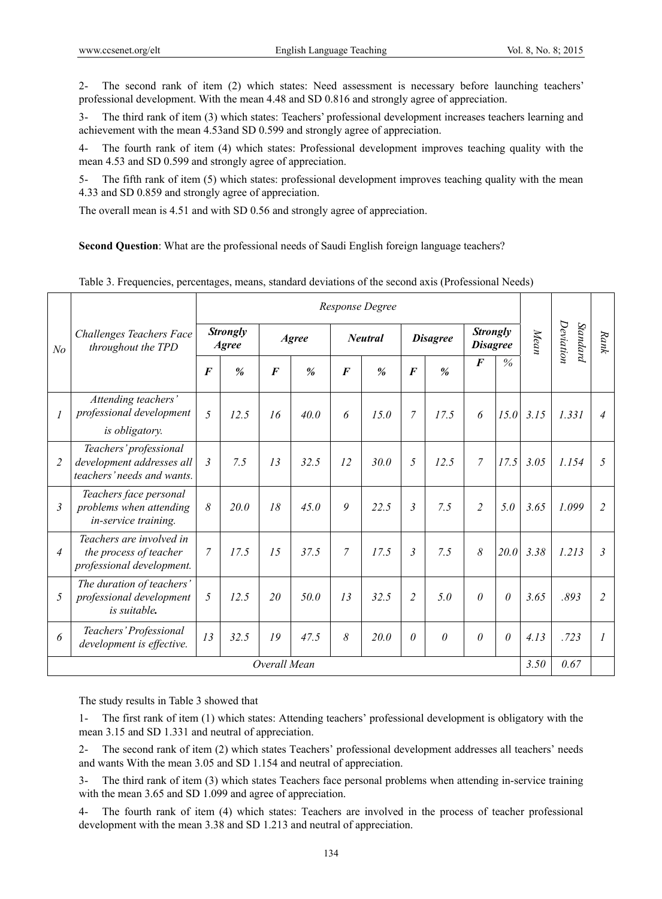2- The second rank of item (2) which states: Need assessment is necessary before launching teachers' professional development. With the mean 4.48 and SD 0.816 and strongly agree of appreciation.

3- The third rank of item (3) which states: Teachers' professional development increases teachers learning and achievement with the mean 4.53and SD 0.599 and strongly agree of appreciation.

4- The fourth rank of item (4) which states: Professional development improves teaching quality with the mean 4.53 and SD 0.599 and strongly agree of appreciation.

5- The fifth rank of item (5) which states: professional development improves teaching quality with the mean 4.33 and SD 0.859 and strongly agree of appreciation.

The overall mean is 4.51 and with SD 0.56 and strongly agree of appreciation.

**Second Question**: What are the professional needs of Saudi English foreign language teachers?

|                |                                                                                   | Response Degree                 |             |                  |              |                  |                |                  |          |                                    |          |      |                                     |                |
|----------------|-----------------------------------------------------------------------------------|---------------------------------|-------------|------------------|--------------|------------------|----------------|------------------|----------|------------------------------------|----------|------|-------------------------------------|----------------|
| No             | Challenges Teachers Face<br>throughout the TPD                                    | <b>Strongly</b><br><b>Agree</b> |             |                  | <b>Agree</b> |                  | <b>Neutral</b> | <b>Disagree</b>  |          | <b>Strongly</b><br><b>Disagree</b> |          | Mean | Deviation<br><i><b>Standard</b></i> | Rank           |
|                |                                                                                   |                                 | %           | $\boldsymbol{F}$ | %            | $\boldsymbol{F}$ | %              | $\boldsymbol{F}$ | %        | $\boldsymbol{F}$                   | $\%$     |      |                                     |                |
| 1              | Attending teachers'<br>professional development<br>is obligatory.                 | 5                               | 12.5        | 16               | 40.0         | 6                | 15.0           | 7                | 17.5     | 6                                  | 15.0     | 3.15 | 1.331                               | $\overline{4}$ |
| 2              | Teachers' professional<br>development addresses all<br>teachers' needs and wants. | 3                               | 7.5         | 13               | 32.5         | 12               | 30.0           | 5                | 12.5     | 7                                  | 17.5     | 3.05 | 1.154                               | 5              |
| $\mathfrak{Z}$ | Teachers face personal<br>problems when attending<br>in-service training.         | 8                               | <i>20.0</i> | 18               | 45.0         | 9                | 22.5           | $\mathfrak{Z}$   | 7.5      | $\overline{2}$                     | 5.0      | 3.65 | 1.099                               | $\overline{2}$ |
| $\overline{4}$ | Teachers are involved in<br>the process of teacher<br>professional development.   | $\mathcal{I}$                   | 17.5        | 1.5              | 37.5         | $\overline{7}$   | 17.5           | $\mathfrak{Z}$   | 7.5      | 8                                  | 20.0     | 3.38 | 1.213                               | 3              |
| 5              | The duration of teachers'<br>professional development<br>is suitable.             | 5                               | 12.5        | 20               | 50.0         | 13               | 32.5           | $\overline{c}$   | 5.0      | $\theta$                           | $\theta$ | 3.65 | .893                                | $\overline{2}$ |
| 6              | Teachers' Professional<br>development is effective.                               | 13                              | 32.5        | 19               | 47.5         | 8                | 20.0           | $\theta$         | $\theta$ | 0                                  | $\theta$ | 4.13 | .723                                | $\mathcal{I}$  |
|                | Overall Mean                                                                      |                                 |             |                  |              |                  |                |                  |          |                                    |          | 3.50 | 0.67                                |                |

Table 3. Frequencies, percentages, means, standard deviations of the second axis (Professional Needs)

The study results in Table 3 showed that

1- The first rank of item (1) which states: Attending teachers' professional development is obligatory with the mean 3.15 and SD 1.331 and neutral of appreciation.

2- The second rank of item (2) which states Teachers' professional development addresses all teachers' needs and wants With the mean 3.05 and SD 1.154 and neutral of appreciation.

3- The third rank of item (3) which states Teachers face personal problems when attending in-service training with the mean 3.65 and SD 1.099 and agree of appreciation.

4- The fourth rank of item (4) which states: Teachers are involved in the process of teacher professional development with the mean 3.38 and SD 1.213 and neutral of appreciation.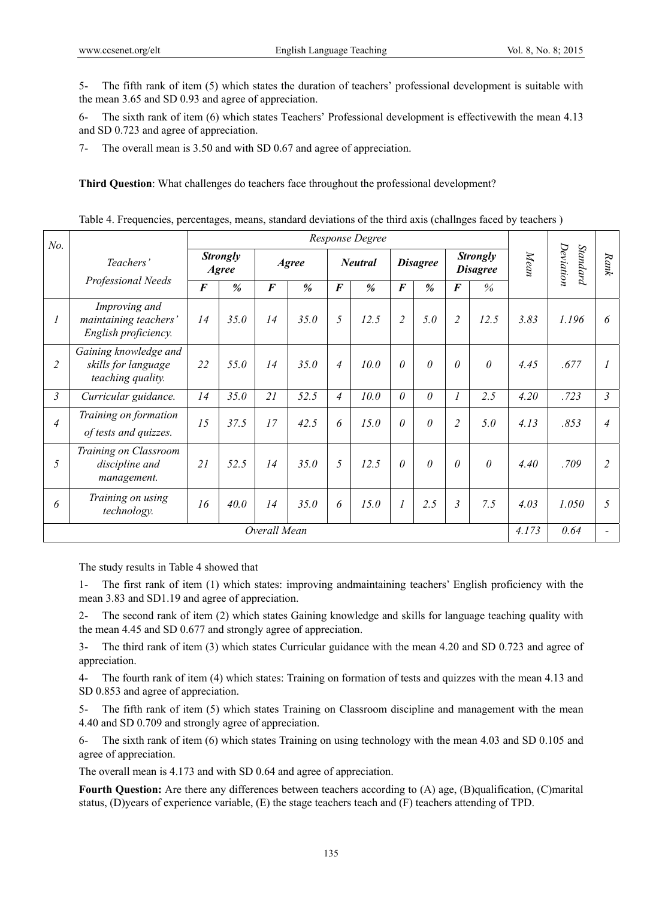5- The fifth rank of item (5) which states the duration of teachers' professional development is suitable with the mean 3.65 and SD 0.93 and agree of appreciation.

6- The sixth rank of item (6) which states Teachers' Professional development is effectivewith the mean 4.13 and SD 0.723 and agree of appreciation.

7- The overall mean is 3.50 and with SD 0.67 and agree of appreciation.

**Third Question**: What challenges do teachers face throughout the professional development?

| Table 4. Frequencies, percentages, means, standard deviations of the third axis (challnges faced by teachers) |  |  |  |
|---------------------------------------------------------------------------------------------------------------|--|--|--|
|                                                                                                               |  |  |  |

| No.            |                                                                   |                          | Response Degree |          |              |                |                |                |                 |                  |                                    |       |                       |                |
|----------------|-------------------------------------------------------------------|--------------------------|-----------------|----------|--------------|----------------|----------------|----------------|-----------------|------------------|------------------------------------|-------|-----------------------|----------------|
|                | Teachers'<br>Professional Needs                                   | <b>Strongly</b><br>Agree |                 |          | <b>Agree</b> |                | <b>Neutral</b> |                | <b>Disagree</b> |                  | <b>Strongly</b><br><b>Disagree</b> | Mean  | Deviation<br>Standard | Rank           |
|                |                                                                   | $\boldsymbol{F}$         | %               | $\bm{F}$ | %            | $\bm{F}$       | %              | $\bm{F}$       | %               | $\boldsymbol{F}$ | $\%$                               |       |                       |                |
| 1              | Improving and<br>maintaining teachers'<br>English proficiency.    | 14                       | 35.0            | 14       | 35.0         | 5              | 12.5           | $\overline{2}$ | 5.0             | $\overline{c}$   | 12.5                               | 3.83  | 1.196                 | 6              |
| $\overline{2}$ | Gaining knowledge and<br>skills for language<br>teaching quality. | 22                       | 55.0            | 14       | 35.0         | $\overline{4}$ | 10.0           | $\theta$       | $\theta$        | $\theta$         | $\theta$                           | 4.45  | .677                  | 1              |
| 3              | Curricular guidance.                                              | 14                       | 35.0            | 21       | 52.5         | $\overline{4}$ | 10.0           | $\theta$       | $\theta$        |                  | 2.5                                | 4.20  | .723                  | $\mathfrak{Z}$ |
| $\overline{4}$ | Training on formation<br>of tests and quizzes.                    | 15                       | 37.5            | 17       | 42.5         | 6              | 15.0           | $\theta$       | $\theta$        | $\overline{c}$   | 5.0                                | 4.13  | .853                  | $\overline{4}$ |
| 5              | Training on Classroom<br>discipline and<br>management.            | 21                       | 52.5            | 14       | 35.0         | 5              | 12.5           | $\theta$       | $\theta$        | $\theta$         | $\theta$                           | 4.40  | .709                  | $\overline{2}$ |
| 6              | Training on using<br>technology.                                  | 16                       | 40.0            | 14       | 35.0         | 6              | 15.0           | $\overline{I}$ | 2.5             | $\mathfrak{Z}$   | 7.5                                | 4.03  | 1.050                 | 5              |
| Overall Mean   |                                                                   |                          |                 |          |              |                |                |                |                 |                  |                                    | 4.173 | 0.64                  |                |

The study results in Table 4 showed that

1- The first rank of item (1) which states: improving andmaintaining teachers' English proficiency with the mean 3.83 and SD1.19 and agree of appreciation.

2- The second rank of item (2) which states Gaining knowledge and skills for language teaching quality with the mean 4.45 and SD 0.677 and strongly agree of appreciation.

3- The third rank of item (3) which states Curricular guidance with the mean 4.20 and SD 0.723 and agree of appreciation.

4- The fourth rank of item (4) which states: Training on formation of tests and quizzes with the mean 4.13 and SD 0.853 and agree of appreciation.

5- The fifth rank of item (5) which states Training on Classroom discipline and management with the mean 4.40 and SD 0.709 and strongly agree of appreciation.

6- The sixth rank of item (6) which states Training on using technology with the mean 4.03 and SD 0.105 and agree of appreciation.

The overall mean is 4.173 and with SD 0.64 and agree of appreciation.

**Fourth Question:** Are there any differences between teachers according to (A) age, (B)qualification, (C)marital status, (D)years of experience variable, (E) the stage teachers teach and (F) teachers attending of TPD.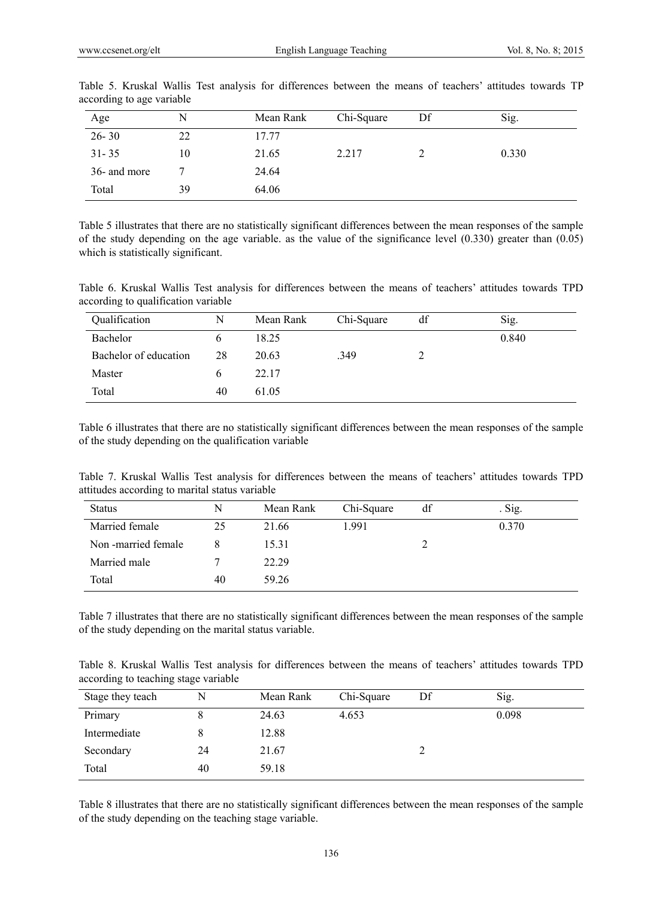| Age          | N  | Mean Rank | Chi-Square | Df | Sig.  |
|--------------|----|-----------|------------|----|-------|
| $26 - 30$    | 22 | 17.77     |            |    |       |
| $31 - 35$    | 10 | 21.65     | 2.217      |    | 0.330 |
| 36- and more |    | 24.64     |            |    |       |
| Total        | 39 | 64.06     |            |    |       |

Table 5. Kruskal Wallis Test analysis for differences between the means of teachers' attitudes towards TP according to age variable

Table 5 illustrates that there are no statistically significant differences between the mean responses of the sample of the study depending on the age variable. as the value of the significance level (0.330) greater than (0.05) which is statistically significant.

Table 6. Kruskal Wallis Test analysis for differences between the means of teachers' attitudes towards TPD according to qualification variable

| Qualification         | N  | Mean Rank | Chi-Square | df | Sig.  |
|-----------------------|----|-----------|------------|----|-------|
| Bachelor              | b  | 18.25     |            |    | 0.840 |
| Bachelor of education | 28 | 20.63     | .349       |    |       |
| Master                | h  | 22.17     |            |    |       |
| Total                 | 40 | 61.05     |            |    |       |

Table 6 illustrates that there are no statistically significant differences between the mean responses of the sample of the study depending on the qualification variable

Table 7. Kruskal Wallis Test analysis for differences between the means of teachers' attitudes towards TPD attitudes according to marital status variable

| <b>Status</b>       | N  | Mean Rank | Chi-Square | df | . Sig. |
|---------------------|----|-----------|------------|----|--------|
| Married female      | 25 | 21.66     | 1.991      |    | 0.370  |
| Non -married female | 8  | 15.31     |            |    |        |
| Married male        |    | 22.29     |            |    |        |
| Total               | 40 | 59.26     |            |    |        |

Table 7 illustrates that there are no statistically significant differences between the mean responses of the sample of the study depending on the marital status variable.

Table 8. Kruskal Wallis Test analysis for differences between the means of teachers' attitudes towards TPD according to teaching stage variable

| Stage they teach | N  | Mean Rank | Chi-Square | Df | Sig.  |
|------------------|----|-----------|------------|----|-------|
| Primary          | 8  | 24.63     | 4.653      |    | 0.098 |
| Intermediate     |    | 12.88     |            |    |       |
| Secondary        | 24 | 21.67     |            |    |       |
| Total            | 40 | 59.18     |            |    |       |

Table 8 illustrates that there are no statistically significant differences between the mean responses of the sample of the study depending on the teaching stage variable.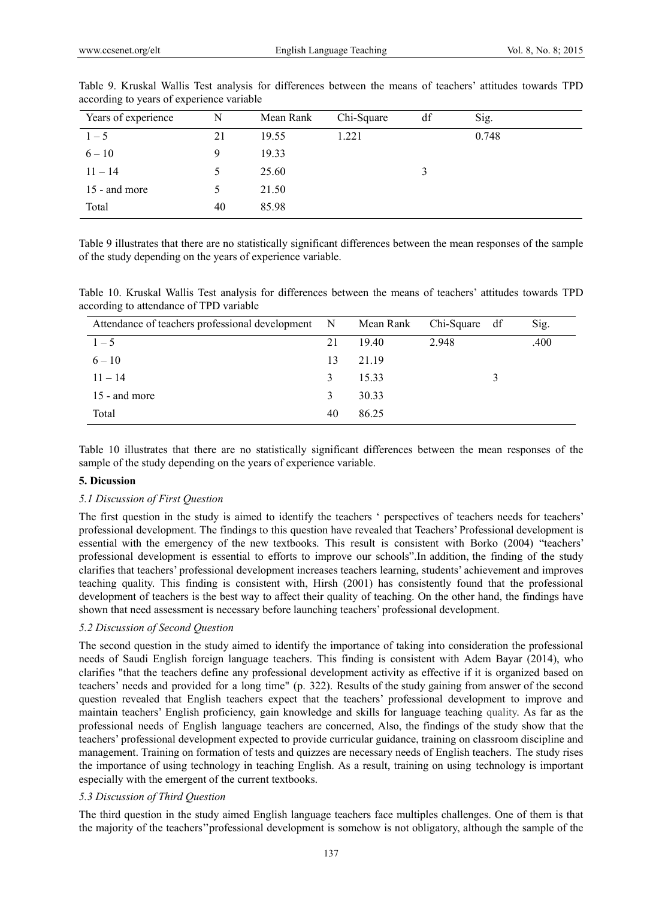| Years of experience | N  | Mean Rank | Chi-Square | df | Sig.  |
|---------------------|----|-----------|------------|----|-------|
| $1 - 5$             | 21 | 19.55     | 1.221      |    | 0.748 |
| $6 - 10$            | 9  | 19.33     |            |    |       |
| $11 - 14$           |    | 25.60     |            |    |       |
| 15 - and more       |    | 21.50     |            |    |       |
| Total               | 40 | 85.98     |            |    |       |

Table 9. Kruskal Wallis Test analysis for differences between the means of teachers' attitudes towards TPD according to years of experience variable

Table 9 illustrates that there are no statistically significant differences between the mean responses of the sample of the study depending on the years of experience variable.

Table 10. Kruskal Wallis Test analysis for differences between the means of teachers' attitudes towards TPD according to attendance of TPD variable

| Attendance of teachers professional development N Mean Rank |    |       | Chi-Square df | Sig. |
|-------------------------------------------------------------|----|-------|---------------|------|
| $1 - 5$                                                     | 21 | 19.40 | 2.948         | .400 |
| $6 - 10$                                                    | 13 | 21.19 |               |      |
| $11 - 14$                                                   |    | 15.33 |               |      |
| 15 - and more                                               |    | 30.33 |               |      |
| Total                                                       | 40 | 86.25 |               |      |

Table 10 illustrates that there are no statistically significant differences between the mean responses of the sample of the study depending on the years of experience variable.

## **5. Dicussion**

## *5.1 Discussion of First Question*

The first question in the study is aimed to identify the teachers ' perspectives of teachers needs for teachers' professional development. The findings to this question have revealed that Teachers' Professional development is essential with the emergency of the new textbooks. This result is consistent with Borko (2004) "teachers' professional development is essential to efforts to improve our schools".In addition, the finding of the study clarifies that teachers' professional development increases teachers learning, students' achievement and improves teaching quality. This finding is consistent with, Hirsh (2001) has consistently found that the professional development of teachers is the best way to affect their quality of teaching. On the other hand, the findings have shown that need assessment is necessary before launching teachers' professional development.

## *5.2 Discussion of Second Question*

The second question in the study aimed to identify the importance of taking into consideration the professional needs of Saudi English foreign language teachers. This finding is consistent with Adem Bayar (2014), who clarifies "that the teachers define any professional development activity as effective if it is organized based on teachers' needs and provided for a long time" (p. 322). Results of the study gaining from answer of the second question revealed that English teachers expect that the teachers' professional development to improve and maintain teachers' English proficiency, gain knowledge and skills for language teaching quality. As far as the professional needs of English language teachers are concerned, Also, the findings of the study show that the teachers' professional development expected to provide curricular guidance, training on classroom discipline and management. Training on formation of tests and quizzes are necessary needs of English teachers. The study rises the importance of using technology in teaching English. As a result, training on using technology is important especially with the emergent of the current textbooks.

## *5.3 Discussion of Third Question*

The third question in the study aimed English language teachers face multiples challenges. One of them is that the majority of the teachers''professional development is somehow is not obligatory, although the sample of the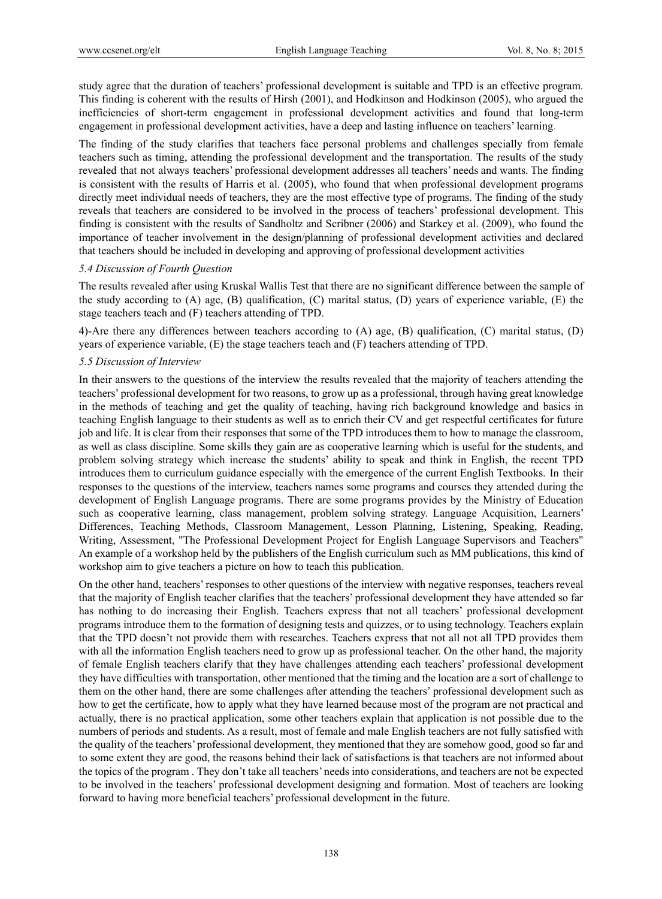study agree that the duration of teachers' professional development is suitable and TPD is an effective program. This finding is coherent with the results of Hirsh (2001), and Hodkinson and Hodkinson (2005), who argued the inefficiencies of short-term engagement in professional development activities and found that long-term engagement in professional development activities, have a deep and lasting influence on teachers' learning.

The finding of the study clarifies that teachers face personal problems and challenges specially from female teachers such as timing, attending the professional development and the transportation. The results of the study revealed that not always teachers' professional development addresses all teachers' needs and wants. The finding is consistent with the results of Harris et al. (2005), who found that when professional development programs directly meet individual needs of teachers, they are the most effective type of programs. The finding of the study reveals that teachers are considered to be involved in the process of teachers' professional development. This finding is consistent with the results of Sandholtz and Scribner (2006) and Starkey et al. (2009), who found the importance of teacher involvement in the design/planning of professional development activities and declared that teachers should be included in developing and approving of professional development activities

## *5.4 Discussion of Fourth Question*

The results revealed after using Kruskal Wallis Test that there are no significant difference between the sample of the study according to (A) age, (B) qualification, (C) marital status, (D) years of experience variable, (E) the stage teachers teach and (F) teachers attending of TPD.

4)-Are there any differences between teachers according to (A) age, (B) qualification, (C) marital status, (D) years of experience variable, (E) the stage teachers teach and (F) teachers attending of TPD.

## *5.5 Discussion of Interview*

In their answers to the questions of the interview the results revealed that the majority of teachers attending the teachers' professional development for two reasons, to grow up as a professional, through having great knowledge in the methods of teaching and get the quality of teaching, having rich background knowledge and basics in teaching English language to their students as well as to enrich their CV and get respectful certificates for future job and life. It is clear from their responses that some of the TPD introduces them to how to manage the classroom, as well as class discipline. Some skills they gain are as cooperative learning which is useful for the students, and problem solving strategy which increase the students' ability to speak and think in English, the recent TPD introduces them to curriculum guidance especially with the emergence of the current English Textbooks. In their responses to the questions of the interview, teachers names some programs and courses they attended during the development of English Language programs. There are some programs provides by the Ministry of Education such as cooperative learning, class management, problem solving strategy. Language Acquisition, Learners' Differences, Teaching Methods, Classroom Management, Lesson Planning, Listening, Speaking, Reading, Writing, Assessment, "The Professional Development Project for English Language Supervisors and Teachers" An example of a workshop held by the publishers of the English curriculum such as MM publications, this kind of workshop aim to give teachers a picture on how to teach this publication.

On the other hand, teachers' responses to other questions of the interview with negative responses, teachers reveal that the majority of English teacher clarifies that the teachers' professional development they have attended so far has nothing to do increasing their English. Teachers express that not all teachers' professional development programs introduce them to the formation of designing tests and quizzes, or to using technology. Teachers explain that the TPD doesn't not provide them with researches. Teachers express that not all not all TPD provides them with all the information English teachers need to grow up as professional teacher. On the other hand, the majority of female English teachers clarify that they have challenges attending each teachers' professional development they have difficulties with transportation, other mentioned that the timing and the location are a sort of challenge to them on the other hand, there are some challenges after attending the teachers' professional development such as how to get the certificate, how to apply what they have learned because most of the program are not practical and actually, there is no practical application, some other teachers explain that application is not possible due to the numbers of periods and students. As a result, most of female and male English teachers are not fully satisfied with the quality of the teachers' professional development, they mentioned that they are somehow good, good so far and to some extent they are good, the reasons behind their lack of satisfactions is that teachers are not informed about the topics of the program . They don't take all teachers' needs into considerations, and teachers are not be expected to be involved in the teachers' professional development designing and formation. Most of teachers are looking forward to having more beneficial teachers' professional development in the future.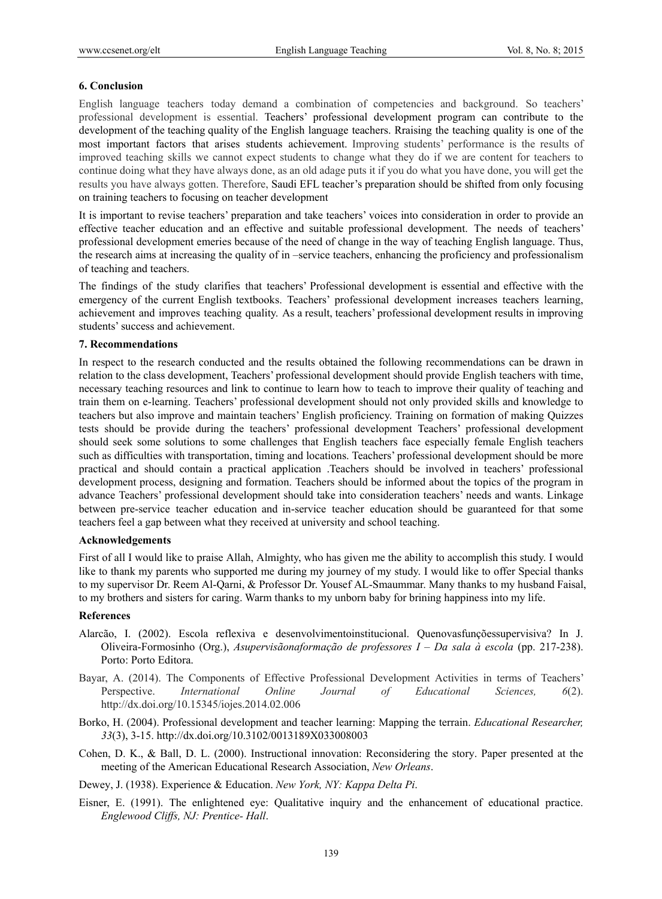## **6. Conclusion**

English language teachers today demand a combination of competencies and background. So teachers' professional development is essential. Teachers' professional development program can contribute to the development of the teaching quality of the English language teachers. Rraising the teaching quality is one of the most important factors that arises students achievement. Improving students' performance is the results of improved teaching skills we cannot expect students to change what they do if we are content for teachers to continue doing what they have always done, as an old adage puts it if you do what you have done, you will get the results you have always gotten. Therefore, Saudi EFL teacher's preparation should be shifted from only focusing on training teachers to focusing on teacher development

It is important to revise teachers' preparation and take teachers' voices into consideration in order to provide an effective teacher education and an effective and suitable professional development. The needs of teachers' professional development emeries because of the need of change in the way of teaching English language. Thus, the research aims at increasing the quality of in –service teachers, enhancing the proficiency and professionalism of teaching and teachers.

The findings of the study clarifies that teachers' Professional development is essential and effective with the emergency of the current English textbooks. Teachers' professional development increases teachers learning, achievement and improves teaching quality. As a result, teachers' professional development results in improving students' success and achievement.

## **7. Recommendations**

In respect to the research conducted and the results obtained the following recommendations can be drawn in relation to the class development, Teachers' professional development should provide English teachers with time, necessary teaching resources and link to continue to learn how to teach to improve their quality of teaching and train them on e-learning. Teachers' professional development should not only provided skills and knowledge to teachers but also improve and maintain teachers' English proficiency. Training on formation of making Quizzes tests should be provide during the teachers' professional development Teachers' professional development should seek some solutions to some challenges that English teachers face especially female English teachers such as difficulties with transportation, timing and locations. Teachers' professional development should be more practical and should contain a practical application .Teachers should be involved in teachers' professional development process, designing and formation. Teachers should be informed about the topics of the program in advance Teachers' professional development should take into consideration teachers' needs and wants. Linkage between pre-service teacher education and in-service teacher education should be guaranteed for that some teachers feel a gap between what they received at university and school teaching.

## **Acknowledgements**

First of all I would like to praise Allah, Almighty, who has given me the ability to accomplish this study. I would like to thank my parents who supported me during my journey of my study. I would like to offer Special thanks to my supervisor Dr. Reem Al-Qarni, & Professor Dr. Yousef AL-Smaummar. Many thanks to my husband Faisal, to my brothers and sisters for caring. Warm thanks to my unborn baby for brining happiness into my life.

## **References**

- Alarcão, I. (2002). Escola reflexiva e desenvolvimentoinstitucional. Quenovasfunçõessupervisiva? In J. Oliveira-Formosinho (Org.), *Asupervisãonaformação de professores I – Da sala à escola* (pp. 217-238). Porto: Porto Editora.
- Bayar, A. (2014). The Components of Effective Professional Development Activities in terms of Teachers' Perspective. *International Online Journal of Educational Sciences, 6*(2). http://dx.doi.org/10.15345/iojes.2014.02.006
- Borko, H. (2004). Professional development and teacher learning: Mapping the terrain. *Educational Researcher, 33*(3), 3-15. http://dx.doi.org/10.3102/0013189X033008003
- Cohen, D. K., & Ball, D. L. (2000). Instructional innovation: Reconsidering the story. Paper presented at the meeting of the American Educational Research Association, *New Orleans*.
- Dewey, J. (1938). Experience & Education. *New York, NY: Kappa Delta Pi*.
- Eisner, E. (1991). The enlightened eye: Qualitative inquiry and the enhancement of educational practice. *Englewood Cliffs, NJ: Prentice- Hall*.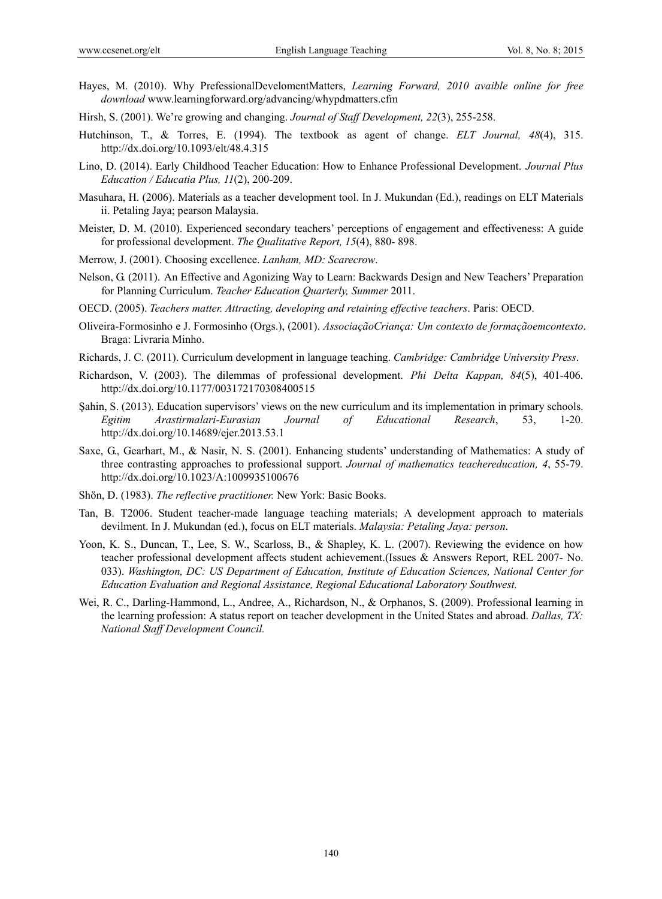- Hayes, M. (2010). Why PrefessionalDevelomentMatters, *Learning Forward, 2010 avaible online for free download* www.learningforward.org/advancing/whypdmatters.cfm
- Hirsh, S. (2001). We're growing and changing. *Journal of Staff Development, 22*(3), 255-258.
- Hutchinson, T., & Torres, E. (1994). The textbook as agent of change. *ELT Journal, 48*(4), 315. http://dx.doi.org/10.1093/elt/48.4.315
- Lino, D. (2014). Early Childhood Teacher Education: How to Enhance Professional Development. *Journal Plus Education / Educatia Plus, 11*(2), 200-209.
- Masuhara, H. (2006). Materials as a teacher development tool. In J. Mukundan (Ed.), readings on ELT Materials ii. Petaling Jaya; pearson Malaysia.
- Meister, D. M. (2010). Experienced secondary teachers' perceptions of engagement and effectiveness: A guide for professional development. *The Qualitative Report, 15*(4), 880- 898.
- Merrow, J. (2001). Choosing excellence. *Lanham, MD: Scarecrow*.
- Nelson, G. (2011). An Effective and Agonizing Way to Learn: Backwards Design and New Teachers' Preparation for Planning Curriculum. *Teacher Education Quarterly, Summer* 2011.
- OECD. (2005). *Teachers matter. Attracting, developing and retaining effective teachers*. Paris: OECD.
- Oliveira-Formosinho e J. Formosinho (Orgs.), (2001). *AssociaçãoCriança: Um contexto de formaçãoemcontexto*. Braga: Livraria Minho.
- Richards, J. C. (2011). Curriculum development in language teaching. *Cambridge: Cambridge University Press*.
- Richardson, V. (2003). The dilemmas of professional development. *Phi Delta Kappan, 84*(5), 401-406. http://dx.doi.org/10.1177/003172170308400515
- Şahin, S. (2013). Education supervisors' views on the new curriculum and its implementation in primary schools. *Egitim Arastirmalari-Eurasian Journal of Educational Research*, 53, 1-20. http://dx.doi.org/10.14689/ejer.2013.53.1
- Saxe, G., Gearhart, M., & Nasir, N. S. (2001). Enhancing students' understanding of Mathematics: A study of three contrasting approaches to professional support. *Journal of mathematics teachereducation, 4*, 55-79. http://dx.doi.org/10.1023/A:1009935100676
- Shön, D. (1983). *The reflective practitioner.* New York: Basic Books.
- Tan, B. T2006. Student teacher-made language teaching materials; A development approach to materials devilment. In J. Mukundan (ed.), focus on ELT materials. *Malaysia: Petaling Jaya: person*.
- Yoon, K. S., Duncan, T., Lee, S. W., Scarloss, B., & Shapley, K. L. (2007). Reviewing the evidence on how teacher professional development affects student achievement.(Issues & Answers Report, REL 2007- No. 033). *Washington, DC: US Department of Education, Institute of Education Sciences, National Center for Education Evaluation and Regional Assistance, Regional Educational Laboratory Southwest.*
- Wei, R. C., Darling-Hammond, L., Andree, A., Richardson, N., & Orphanos, S. (2009). Professional learning in the learning profession: A status report on teacher development in the United States and abroad. *Dallas, TX: National Staff Development Council.*